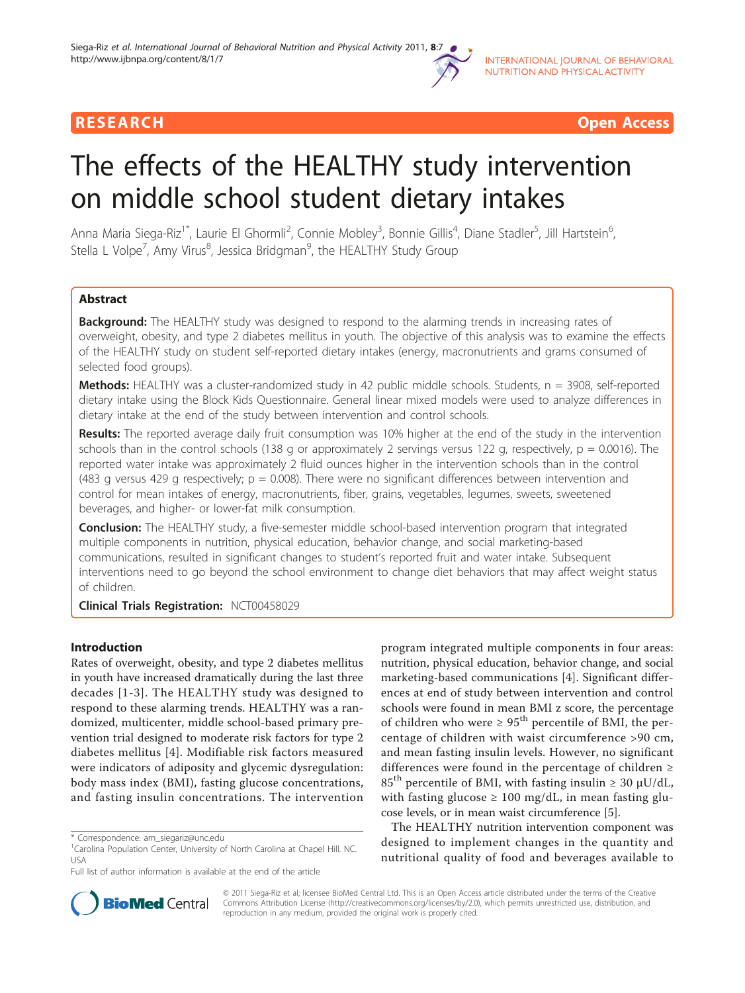

**RESEARCH Open Access CONTRACTES AND ACCESS CONTRACTES AND ACCESS CONTRACTES AND ACCESS** 

# The effects of the HEALTHY study intervention on middle school student dietary intakes

Anna Maria Siega-Riz<sup>1\*</sup>, Laurie El Ghormli<sup>2</sup>, Connie Mobley<sup>3</sup>, Bonnie Gillis<sup>4</sup>, Diane Stadler<sup>5</sup>, Jill Hartstein<sup>6</sup> י<br>, Stella L Volpe<sup>7</sup>, Amy Virus<sup>8</sup>, Jessica Bridgman<sup>9</sup>, the HEALTHY Study Group

# Abstract

Background: The HEALTHY study was designed to respond to the alarming trends in increasing rates of overweight, obesity, and type 2 diabetes mellitus in youth. The objective of this analysis was to examine the effects of the HEALTHY study on student self-reported dietary intakes (energy, macronutrients and grams consumed of selected food groups).

**Methods:** HEALTHY was a cluster-randomized study in 42 public middle schools. Students,  $n = 3908$ , self-reported dietary intake using the Block Kids Questionnaire. General linear mixed models were used to analyze differences in dietary intake at the end of the study between intervention and control schools.

Results: The reported average daily fruit consumption was 10% higher at the end of the study in the intervention schools than in the control schools (138 g or approximately 2 servings versus 122 g, respectively,  $p = 0.0016$ ). The reported water intake was approximately 2 fluid ounces higher in the intervention schools than in the control (483 g versus 429 g respectively;  $p = 0.008$ ). There were no significant differences between intervention and control for mean intakes of energy, macronutrients, fiber, grains, vegetables, legumes, sweets, sweetened beverages, and higher- or lower-fat milk consumption.

**Conclusion:** The HEALTHY study, a five-semester middle school-based intervention program that integrated multiple components in nutrition, physical education, behavior change, and social marketing-based communications, resulted in significant changes to student's reported fruit and water intake. Subsequent interventions need to go beyond the school environment to change diet behaviors that may affect weight status of children.

Clinical Trials Registration: [NCT00458029](http://www.clinicaltrials.gov/ct2/show/NCT00458029)

# Introduction

Rates of overweight, obesity, and type 2 diabetes mellitus in youth have increased dramatically during the last three decades [[1](#page-7-0)-[3](#page-7-0)]. The HEALTHY study was designed to respond to these alarming trends. HEALTHY was a randomized, multicenter, middle school-based primary prevention trial designed to moderate risk factors for type 2 diabetes mellitus [\[4\]](#page-7-0). Modifiable risk factors measured were indicators of adiposity and glycemic dysregulation: body mass index (BMI), fasting glucose concentrations, and fasting insulin concentrations. The intervention

program integrated multiple components in four areas: nutrition, physical education, behavior change, and social marketing-based communications [\[4](#page-7-0)]. Significant differences at end of study between intervention and control schools were found in mean BMI z score, the percentage of children who were  $\geq 95^{\text{th}}$  percentile of BMI, the percentage of children with waist circumference >90 cm, and mean fasting insulin levels. However, no significant differences were found in the percentage of children ≥  $85<sup>th</sup>$  percentile of BMI, with fasting insulin  $\geq 30 \mu U/dL$ , with fasting glucose  $\geq 100$  mg/dL, in mean fasting glucose levels, or in mean waist circumference [\[5](#page-7-0)].

The HEALTHY nutrition intervention component was designed to implement changes in the quantity and nutritional quality of food and beverages available to



© 2011 Siega-Riz et al; licensee BioMed Central Ltd. This is an Open Access article distributed under the terms of the Creative Commons Attribution License [\(http://creativecommons.org/licenses/by/2.0](http://creativecommons.org/licenses/by/2.0)), which permits unrestricted use, distribution, and reproduction in any medium, provided the original work is properly cited.

<sup>\*</sup> Correspondence: [am\\_siegariz@unc.edu](mailto:am_siegariz@unc.edu)

<sup>&</sup>lt;sup>1</sup>Carolina Population Center, University of North Carolina at Chapel Hill. NC. USA

Full list of author information is available at the end of the article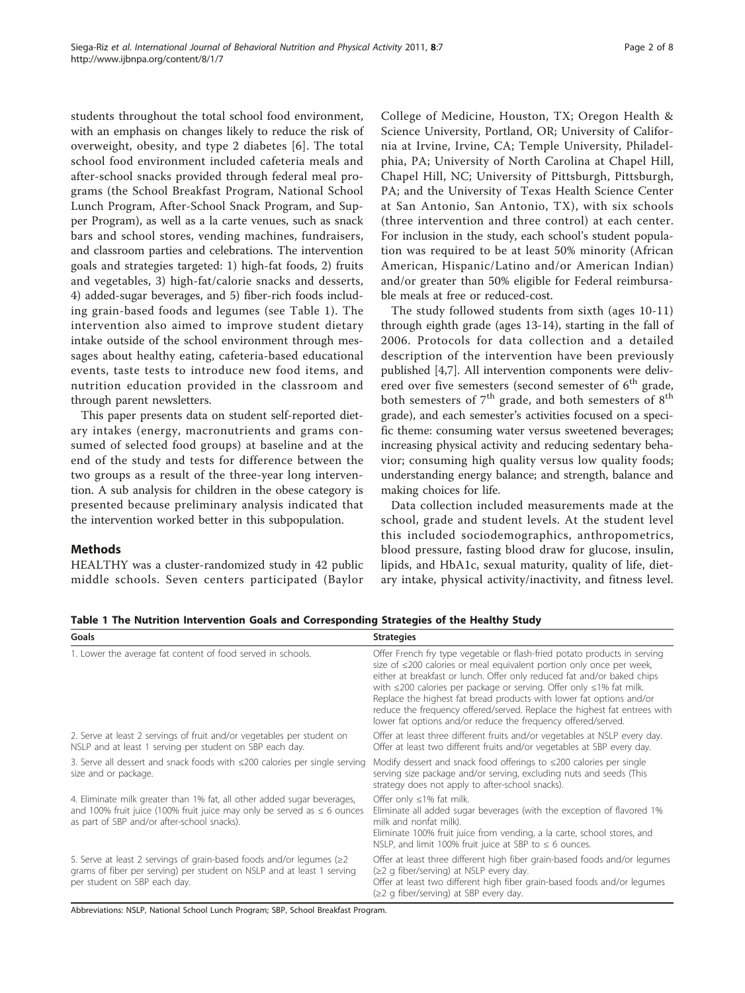students throughout the total school food environment, with an emphasis on changes likely to reduce the risk of overweight, obesity, and type 2 diabetes [\[6\]](#page-7-0). The total school food environment included cafeteria meals and after-school snacks provided through federal meal programs (the School Breakfast Program, National School Lunch Program, After-School Snack Program, and Supper Program), as well as a la carte venues, such as snack bars and school stores, vending machines, fundraisers, and classroom parties and celebrations. The intervention goals and strategies targeted: 1) high-fat foods, 2) fruits and vegetables, 3) high-fat/calorie snacks and desserts, 4) added-sugar beverages, and 5) fiber-rich foods including grain-based foods and legumes (see Table 1). The intervention also aimed to improve student dietary intake outside of the school environment through messages about healthy eating, cafeteria-based educational events, taste tests to introduce new food items, and nutrition education provided in the classroom and through parent newsletters.

This paper presents data on student self-reported dietary intakes (energy, macronutrients and grams consumed of selected food groups) at baseline and at the end of the study and tests for difference between the two groups as a result of the three-year long intervention. A sub analysis for children in the obese category is presented because preliminary analysis indicated that the intervention worked better in this subpopulation.

# Methods

HEALTHY was a cluster-randomized study in 42 public middle schools. Seven centers participated (Baylor

College of Medicine, Houston, TX; Oregon Health & Science University, Portland, OR; University of California at Irvine, Irvine, CA; Temple University, Philadelphia, PA; University of North Carolina at Chapel Hill, Chapel Hill, NC; University of Pittsburgh, Pittsburgh, PA; and the University of Texas Health Science Center at San Antonio, San Antonio, TX), with six schools (three intervention and three control) at each center. For inclusion in the study, each school's student population was required to be at least 50% minority (African American, Hispanic/Latino and/or American Indian) and/or greater than 50% eligible for Federal reimbursable meals at free or reduced-cost.

The study followed students from sixth (ages 10-11) through eighth grade (ages 13-14), starting in the fall of 2006. Protocols for data collection and a detailed description of the intervention have been previously published [[4,7\]](#page-7-0). All intervention components were delivered over five semesters (second semester of  $6<sup>th</sup>$  grade, both semesters of  $7<sup>th</sup>$  grade, and both semesters of  $8<sup>th</sup>$ grade), and each semester's activities focused on a specific theme: consuming water versus sweetened beverages; increasing physical activity and reducing sedentary behavior; consuming high quality versus low quality foods; understanding energy balance; and strength, balance and making choices for life.

Data collection included measurements made at the school, grade and student levels. At the student level this included sociodemographics, anthropometrics, blood pressure, fasting blood draw for glucose, insulin, lipids, and HbA1c, sexual maturity, quality of life, dietary intake, physical activity/inactivity, and fitness level.

Table 1 The Nutrition Intervention Goals and Corresponding Strategies of the Healthy Study

| Goals                                                                                                                                                                                                  | <b>Strategies</b>                                                                                                                                                                                                                                                                                                                                                                                                                                                                                                                           |
|--------------------------------------------------------------------------------------------------------------------------------------------------------------------------------------------------------|---------------------------------------------------------------------------------------------------------------------------------------------------------------------------------------------------------------------------------------------------------------------------------------------------------------------------------------------------------------------------------------------------------------------------------------------------------------------------------------------------------------------------------------------|
| 1. Lower the average fat content of food served in schools.                                                                                                                                            | Offer French fry type vegetable or flash-fried potato products in serving<br>size of $\leq$ 200 calories or meal equivalent portion only once per week,<br>either at breakfast or lunch. Offer only reduced fat and/or baked chips<br>with $\leq$ 200 calories per package or serving. Offer only $\leq$ 1% fat milk.<br>Replace the highest fat bread products with lower fat options and/or<br>reduce the frequency offered/served. Replace the highest fat entrees with<br>lower fat options and/or reduce the frequency offered/served. |
| 2. Serve at least 2 servings of fruit and/or vegetables per student on<br>NSLP and at least 1 serving per student on SBP each day.                                                                     | Offer at least three different fruits and/or vegetables at NSLP every day.<br>Offer at least two different fruits and/or vegetables at SBP every day.                                                                                                                                                                                                                                                                                                                                                                                       |
| 3. Serve all dessert and snack foods with $\leq$ 200 calories per single serving<br>size and or package.                                                                                               | Modify dessert and snack food offerings to $\leq$ 200 calories per single<br>serving size package and/or serving, excluding nuts and seeds (This<br>strategy does not apply to after-school snacks).                                                                                                                                                                                                                                                                                                                                        |
| 4. Eliminate milk greater than 1% fat, all other added sugar beverages,<br>and 100% fruit juice (100% fruit juice may only be served as $\leq 6$ ounces<br>as part of SBP and/or after-school snacks). | Offer only $\leq 1\%$ fat milk.<br>Eliminate all added sugar beverages (with the exception of flavored 1%<br>milk and nonfat milk).<br>Eliminate 100% fruit juice from vending, a la carte, school stores, and<br>NSLP, and limit 100% fruit juice at SBP to $\leq 6$ ounces.                                                                                                                                                                                                                                                               |
| 5. Serve at least 2 servings of grain-based foods and/or legumes ( $\geq$ 2<br>grams of fiber per serving) per student on NSLP and at least 1 serving<br>per student on SBP each day.                  | Offer at least three different high fiber grain-based foods and/or legumes<br>(≥2 q fiber/serving) at NSLP every day.<br>Offer at least two different high fiber grain-based foods and/or legumes<br>$(\geq 2$ g fiber/serving) at SBP every day.                                                                                                                                                                                                                                                                                           |

Abbreviations: NSLP, National School Lunch Program; SBP, School Breakfast Program.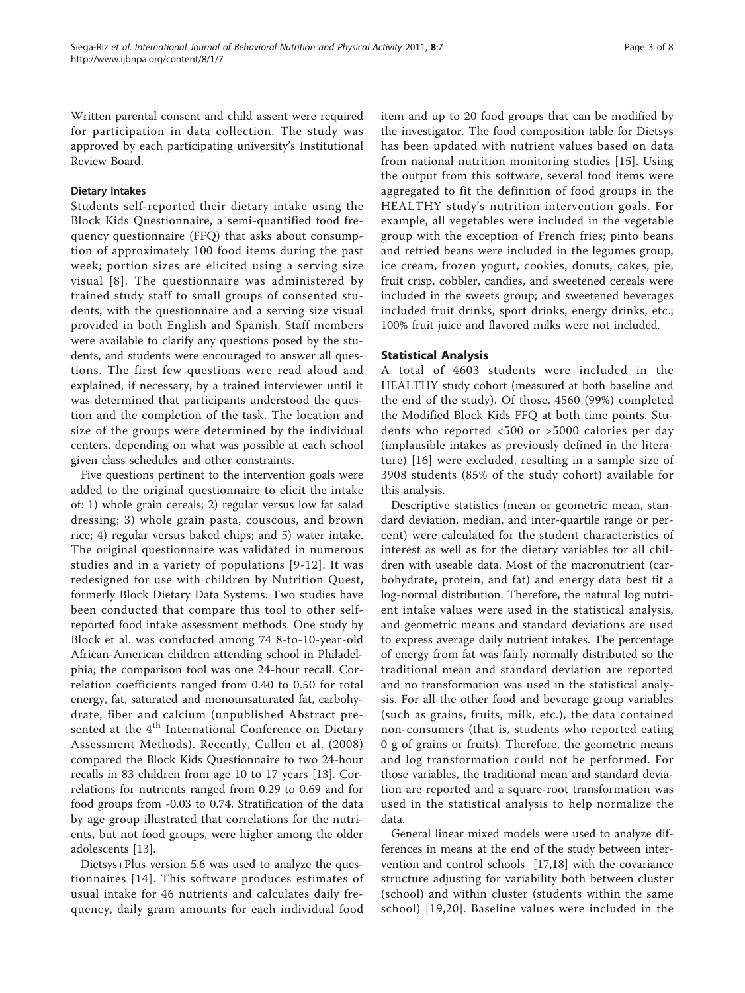Written parental consent and child assent were required for participation in data collection. The study was approved by each participating university's Institutional Review Board.

## Dietary Intakes

Students self-reported their dietary intake using the Block Kids Questionnaire, a semi-quantified food frequency questionnaire (FFQ) that asks about consumption of approximately 100 food items during the past week; portion sizes are elicited using a serving size visual [[8](#page-7-0)]. The questionnaire was administered by trained study staff to small groups of consented students, with the questionnaire and a serving size visual provided in both English and Spanish. Staff members were available to clarify any questions posed by the students, and students were encouraged to answer all questions. The first few questions were read aloud and explained, if necessary, by a trained interviewer until it was determined that participants understood the question and the completion of the task. The location and size of the groups were determined by the individual centers, depending on what was possible at each school given class schedules and other constraints.

Five questions pertinent to the intervention goals were added to the original questionnaire to elicit the intake of: 1) whole grain cereals; 2) regular versus low fat salad dressing; 3) whole grain pasta, couscous, and brown rice; 4) regular versus baked chips; and 5) water intake. The original questionnaire was validated in numerous studies and in a variety of populations [[9](#page-7-0)-[12\]](#page-7-0). It was redesigned for use with children by Nutrition Quest, formerly Block Dietary Data Systems. Two studies have been conducted that compare this tool to other selfreported food intake assessment methods. One study by Block et al. was conducted among 74 8-to-10-year-old African-American children attending school in Philadelphia; the comparison tool was one 24-hour recall. Correlation coefficients ranged from 0.40 to 0.50 for total energy, fat, saturated and monounsaturated fat, carbohydrate, fiber and calcium (unpublished Abstract presented at the  $4<sup>th</sup>$  International Conference on Dietary Assessment Methods). Recently, Cullen et al. (2008) compared the Block Kids Questionnaire to two 24-hour recalls in 83 children from age 10 to 17 years [[13\]](#page-7-0). Correlations for nutrients ranged from 0.29 to 0.69 and for food groups from -0.03 to 0.74. Stratification of the data by age group illustrated that correlations for the nutrients, but not food groups, were higher among the older adolescents [\[13](#page-7-0)].

Dietsys+Plus version 5.6 was used to analyze the questionnaires [[14\]](#page-7-0). This software produces estimates of usual intake for 46 nutrients and calculates daily frequency, daily gram amounts for each individual food item and up to 20 food groups that can be modified by the investigator. The food composition table for Dietsys has been updated with nutrient values based on data from national nutrition monitoring studies [[15](#page-7-0)]. Using the output from this software, several food items were aggregated to fit the definition of food groups in the HEALTHY study's nutrition intervention goals. For example, all vegetables were included in the vegetable group with the exception of French fries; pinto beans and refried beans were included in the legumes group; ice cream, frozen yogurt, cookies, donuts, cakes, pie, fruit crisp, cobbler, candies, and sweetened cereals were included in the sweets group; and sweetened beverages included fruit drinks, sport drinks, energy drinks, etc.; 100% fruit juice and flavored milks were not included.

# Statistical Analysis

A total of 4603 students were included in the HEALTHY study cohort (measured at both baseline and the end of the study). Of those, 4560 (99%) completed the Modified Block Kids FFQ at both time points. Students who reported <500 or >5000 calories per day (implausible intakes as previously defined in the literature) [\[16\]](#page-7-0) were excluded, resulting in a sample size of 3908 students (85% of the study cohort) available for this analysis.

Descriptive statistics (mean or geometric mean, standard deviation, median, and inter-quartile range or percent) were calculated for the student characteristics of interest as well as for the dietary variables for all children with useable data. Most of the macronutrient (carbohydrate, protein, and fat) and energy data best fit a log-normal distribution. Therefore, the natural log nutrient intake values were used in the statistical analysis, and geometric means and standard deviations are used to express average daily nutrient intakes. The percentage of energy from fat was fairly normally distributed so the traditional mean and standard deviation are reported and no transformation was used in the statistical analysis. For all the other food and beverage group variables (such as grains, fruits, milk, etc.), the data contained non-consumers (that is, students who reported eating 0 g of grains or fruits). Therefore, the geometric means and log transformation could not be performed. For those variables, the traditional mean and standard deviation are reported and a square-root transformation was used in the statistical analysis to help normalize the data.

General linear mixed models were used to analyze differences in means at the end of the study between intervention and control schools [[17](#page-7-0),[18](#page-7-0)] with the covariance structure adjusting for variability both between cluster (school) and within cluster (students within the same school) [[19](#page-7-0),[20](#page-7-0)]. Baseline values were included in the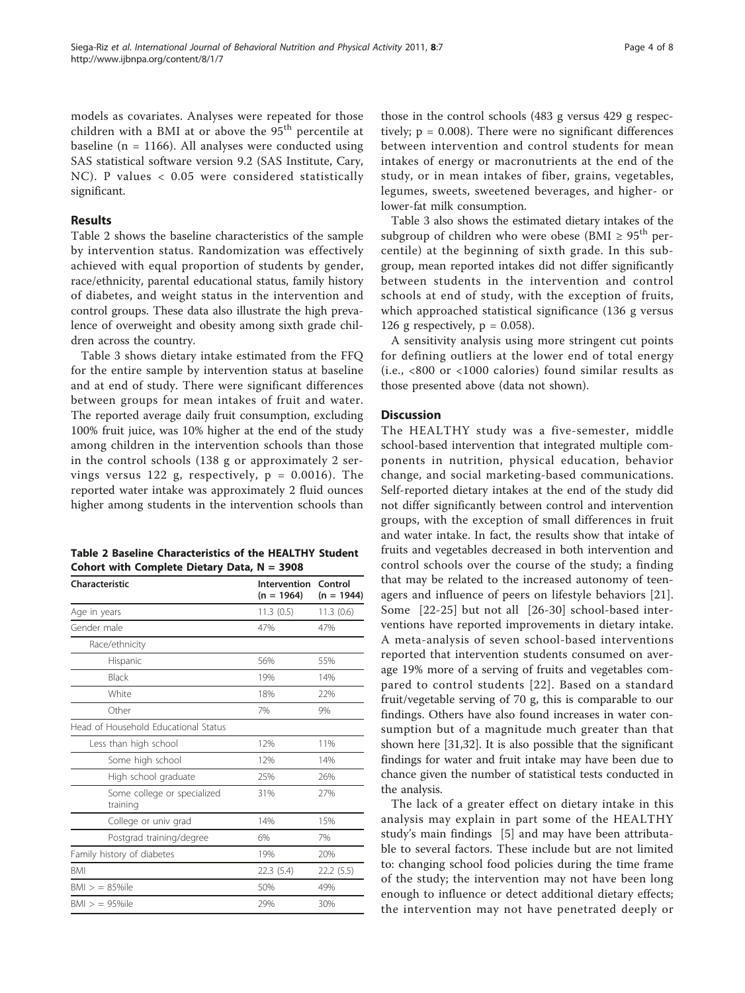models as covariates. Analyses were repeated for those children with a BMI at or above the 95<sup>th</sup> percentile at baseline ( $n = 1166$ ). All analyses were conducted using SAS statistical software version 9.2 (SAS Institute, Cary, NC). P values < 0.05 were considered statistically significant.

## Results

Table 2 shows the baseline characteristics of the sample by intervention status. Randomization was effectively achieved with equal proportion of students by gender, race/ethnicity, parental educational status, family history of diabetes, and weight status in the intervention and control groups. These data also illustrate the high prevalence of overweight and obesity among sixth grade children across the country.

Table [3](#page-4-0) shows dietary intake estimated from the FFQ for the entire sample by intervention status at baseline and at end of study. There were significant differences between groups for mean intakes of fruit and water. The reported average daily fruit consumption, excluding 100% fruit juice, was 10% higher at the end of the study among children in the intervention schools than those in the control schools (138 g or approximately 2 servings versus 122 g, respectively,  $p = 0.0016$ . The reported water intake was approximately 2 fluid ounces higher among students in the intervention schools than

| Table 2 Baseline Characteristics of the HEALTHY Student |
|---------------------------------------------------------|
| Cohort with Complete Dietary Data, $N = 3908$           |

| Characteristic                          | <b>Intervention Control</b><br>$(n = 1964)$ | $(n = 1944)$ |
|-----------------------------------------|---------------------------------------------|--------------|
| Age in years                            | 11.3(0.5)                                   | 11.3(0.6)    |
| Gender male                             | 47%                                         | 47%          |
| Race/ethnicity                          |                                             |              |
| Hispanic                                | 56%                                         | 55%          |
| Black                                   | 19%                                         | 14%          |
| White                                   | 18%                                         | 22%          |
| Other                                   | 7%                                          | 9%           |
| Head of Household Educational Status    |                                             |              |
| Less than high school                   | 12%                                         | 11%          |
| Some high school                        | 12%                                         | 14%          |
| High school graduate                    | 25%                                         | 26%          |
| Some college or specialized<br>training | 31%                                         | 27%          |
| College or univ grad                    | 14%                                         | 15%          |
| Postgrad training/degree                | 6%                                          | 7%           |
| Family history of diabetes              | 19%                                         | 20%          |
| <b>BMI</b>                              | 22.3(5.4)                                   | 22.2(5.5)    |
| $BMI > 85\%$ ile                        | 50%                                         | 49%          |
| $BM > 95\%$ ile                         | 29%                                         | 30%          |

those in the control schools (483 g versus 429 g respectively;  $p = 0.008$ ). There were no significant differences between intervention and control students for mean intakes of energy or macronutrients at the end of the study, or in mean intakes of fiber, grains, vegetables, legumes, sweets, sweetened beverages, and higher- or lower-fat milk consumption.

Table [3](#page-4-0) also shows the estimated dietary intakes of the subgroup of children who were obese (BMI  $\geq$  95<sup>th</sup> percentile) at the beginning of sixth grade. In this subgroup, mean reported intakes did not differ significantly between students in the intervention and control schools at end of study, with the exception of fruits, which approached statistical significance (136 g versus 126 g respectively,  $p = 0.058$ .

A sensitivity analysis using more stringent cut points for defining outliers at the lower end of total energy (i.e., <800 or <1000 calories) found similar results as those presented above (data not shown).

# **Discussion**

The HEALTHY study was a five-semester, middle school-based intervention that integrated multiple components in nutrition, physical education, behavior change, and social marketing-based communications. Self-reported dietary intakes at the end of the study did not differ significantly between control and intervention groups, with the exception of small differences in fruit and water intake. In fact, the results show that intake of fruits and vegetables decreased in both intervention and control schools over the course of the study; a finding that may be related to the increased autonomy of teenagers and influence of peers on lifestyle behaviors [[21](#page-7-0)]. Some [[22-25\]](#page-7-0) but not all [\[26-30](#page-7-0)] school-based interventions have reported improvements in dietary intake. A meta-analysis of seven school-based interventions reported that intervention students consumed on average 19% more of a serving of fruits and vegetables compared to control students [[22\]](#page-7-0). Based on a standard fruit/vegetable serving of 70 g, this is comparable to our findings. Others have also found increases in water consumption but of a magnitude much greater than that shown here [\[31,32\]](#page-7-0). It is also possible that the significant findings for water and fruit intake may have been due to chance given the number of statistical tests conducted in the analysis.

The lack of a greater effect on dietary intake in this analysis may explain in part some of the HEALTHY study's main findings [\[5](#page-7-0)] and may have been attributable to several factors. These include but are not limited to: changing school food policies during the time frame of the study; the intervention may not have been long enough to influence or detect additional dietary effects; the intervention may not have penetrated deeply or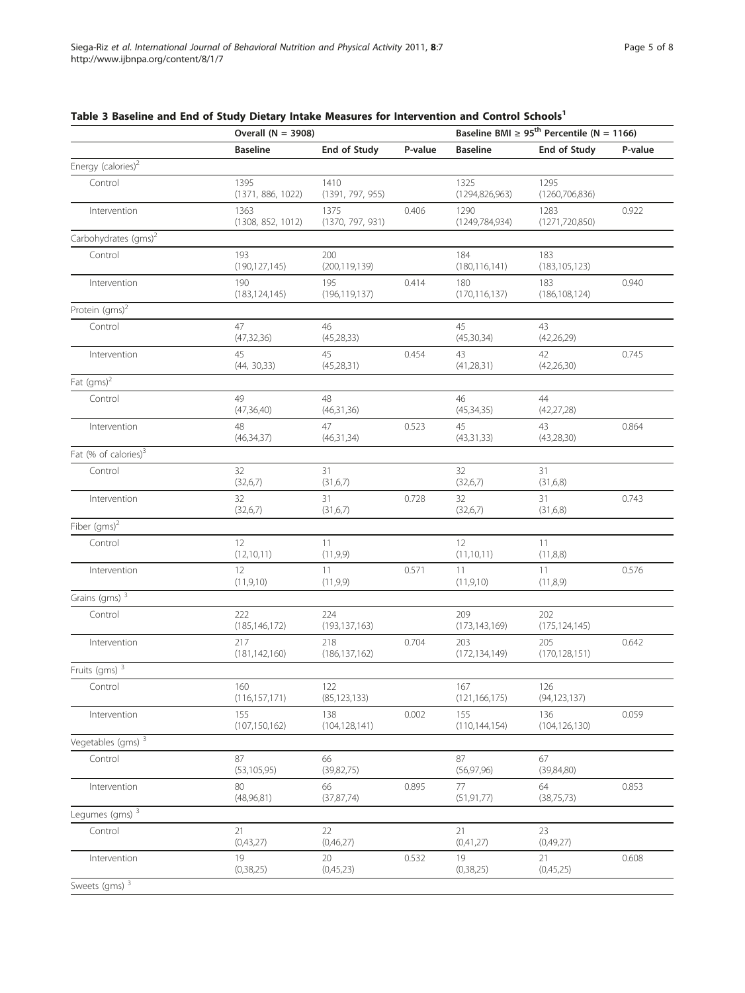|                                                     | Overall (N = 3908)        |                          |         | Baseline BMI $\geq 95^{th}$ Percentile (N = 1166) |                          |         |
|-----------------------------------------------------|---------------------------|--------------------------|---------|---------------------------------------------------|--------------------------|---------|
|                                                     | <b>Baseline</b>           | End of Study             | P-value | <b>Baseline</b>                                   | End of Study             | P-value |
| Energy (calories) <sup>2</sup>                      |                           |                          |         |                                                   |                          |         |
| Control                                             | 1395<br>(1371, 886, 1022) | 1410<br>(1391, 797, 955) |         | 1325<br>(1294, 826, 963)                          | 1295<br>(1260, 706, 836) |         |
| Intervention                                        | 1363<br>(1308, 852, 1012) | 1375<br>(1370, 797, 931) | 0.406   | 1290<br>(1249, 784, 934)                          | 1283<br>(1271, 720, 850) | 0.922   |
| Carbohydrates (gms) <sup>2</sup>                    |                           |                          |         |                                                   |                          |         |
| Control                                             | 193<br>(190, 127, 145)    | 200<br>(200, 119, 139)   |         | 184<br>(180, 116, 141)                            | 183<br>(183, 105, 123)   |         |
| Intervention                                        | 190<br>(183, 124, 145)    | 195<br>(196, 119, 137)   | 0.414   | 180<br>(170, 116, 137)                            | 183<br>(186, 108, 124)   | 0.940   |
| Protein (gms) <sup>2</sup>                          |                           |                          |         |                                                   |                          |         |
| Control                                             | 47<br>(47, 32, 36)        | 46<br>(45, 28, 33)       |         | 45<br>(45, 30, 34)                                | 43<br>(42, 26, 29)       |         |
| Intervention                                        | 45<br>(44, 30, 33)        | 45<br>(45, 28, 31)       | 0.454   | 43<br>(41, 28, 31)                                | 42<br>(42, 26, 30)       | 0.745   |
| Fat $(gms)^2$                                       |                           |                          |         |                                                   |                          |         |
| Control                                             | 49<br>(47, 36, 40)        | 48<br>(46, 31, 36)       |         | 46<br>(45, 34, 35)                                | 44<br>(42, 27, 28)       |         |
| Intervention                                        | 48<br>(46, 34, 37)        | 47<br>(46, 31, 34)       | 0.523   | 45<br>(43, 31, 33)                                | 43<br>(43, 28, 30)       | 0.864   |
| Fat $(% \mathbb{R}^2)$ (% of calories) <sup>3</sup> |                           |                          |         |                                                   |                          |         |
| Control                                             | 32<br>(32,6,7)            | 31<br>(31,6,7)           |         | 32<br>(32,6,7)                                    | 31<br>(31,6,8)           |         |
| Intervention                                        | 32<br>(32,6,7)            | 31<br>(31,6,7)           | 0.728   | 32<br>(32, 6, 7)                                  | 31<br>(31, 6, 8)         | 0.743   |
| Fiber $(gms)^2$                                     |                           |                          |         |                                                   |                          |         |
| Control                                             | 12<br>(12, 10, 11)        | 11<br>(11, 9, 9)         |         | 12<br>(11, 10, 11)                                | 11<br>(11,8,8)           |         |
| Intervention                                        | 12<br>(11, 9, 10)         | 11<br>(11,9,9)           | 0.571   | 11<br>(11, 9, 10)                                 | 11<br>(11,8,9)           | 0.576   |
| Grains (gms) $3$                                    |                           |                          |         |                                                   |                          |         |
| Control                                             | 222<br>(185, 146, 172)    | 224<br>(193, 137, 163)   |         | 209<br>(173, 143, 169)                            | 202<br>(175, 124, 145)   |         |
| Intervention                                        | 217<br>(181, 142, 160)    | 218<br>(186, 137, 162)   | 0.704   | 203<br>(172, 134, 149)                            | 205<br>(170, 128, 151)   | 0.642   |
| Fruits (gms) <sup>3</sup>                           |                           |                          |         |                                                   |                          |         |
| Control                                             | 160<br>(116, 157, 171)    | 122<br>(85, 123, 133)    |         | 167<br>(121, 166, 175)                            | 126<br>(94, 123, 137)    |         |
| Intervention                                        | 155<br>(107, 150, 162)    | 138<br>(104, 128, 141)   | 0.002   | 155<br>(110, 144, 154)                            | 136<br>(104, 126, 130)   | 0.059   |
| Vegetables (gms) <sup>3</sup>                       |                           |                          |         |                                                   |                          |         |
| Control                                             | 87<br>(53, 105, 95)       | 66<br>(39, 82, 75)       |         | 87<br>(56, 97, 96)                                | 67<br>(39, 84, 80)       |         |
| Intervention                                        | 80<br>(48,96,81)          | 66<br>(37, 87, 74)       | 0.895   | 77<br>(51, 91, 77)                                | 64<br>(38, 75, 73)       | 0.853   |
| Legumes (gms) <sup>3</sup>                          |                           |                          |         |                                                   |                          |         |
| Control                                             | 21<br>(0,43,27)           | 22<br>(0,46,27)          |         | 21<br>(0,41,27)                                   | 23<br>(0,49,27)          |         |
| Intervention                                        | 19<br>(0, 38, 25)         | 20<br>(0,45,23)          | 0.532   | 19<br>(0, 38, 25)                                 | 21<br>(0,45,25)          | 0.608   |
| Sweets (gms) <sup>3</sup>                           |                           |                          |         |                                                   |                          |         |

# <span id="page-4-0"></span>Table 3 Baseline and End of Study Dietary Intake Measures for Intervention and Control Schools<sup>1</sup>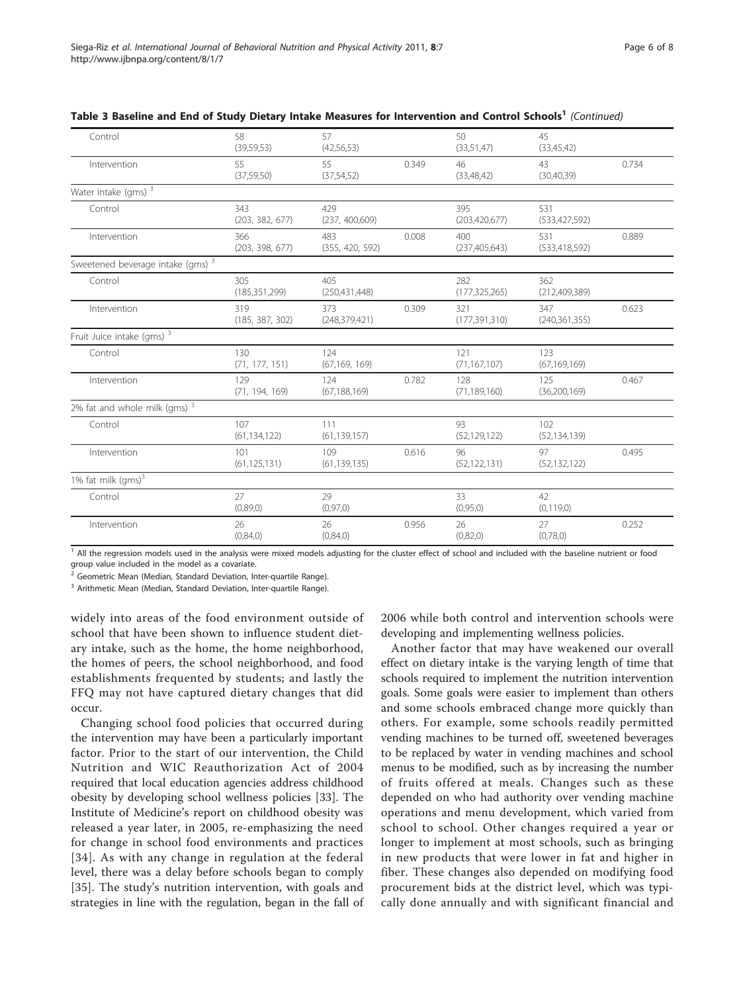| Control                                      | 58<br>(39,59,53)       | 57<br>(42, 56, 53)     |       | 50<br>(33,51,47)       | 45<br>(33,45,42)       |       |
|----------------------------------------------|------------------------|------------------------|-------|------------------------|------------------------|-------|
| Intervention                                 | 55<br>(37,59,50)       | 55<br>(37,54,52)       | 0.349 | 46<br>(33, 48, 42)     | 43<br>(30, 40, 39)     | 0.734 |
| Water intake (gms) <sup>3</sup>              |                        |                        |       |                        |                        |       |
| Control                                      | 343<br>(203, 382, 677) | 429<br>(237, 400, 609) |       | 395<br>(203,420,677)   | 531<br>(533,427,592)   |       |
| Intervention                                 | 366<br>(203, 398, 677) | 483<br>(355, 420, 592) | 0.008 | 400<br>(237,405,643)   | 531<br>(533,418,592)   | 0.889 |
| Sweetened beverage intake (qms) <sup>3</sup> |                        |                        |       |                        |                        |       |
| Control                                      | 305<br>(185, 351, 299) | 405<br>(250, 431, 448) |       | 282<br>(177, 325, 265) | 362<br>(212,409,389)   |       |
| Intervention                                 | 319<br>(185, 387, 302) | 373<br>(248, 379, 421) | 0.309 | 321<br>(177, 391, 310) | 347<br>(240, 361, 355) | 0.623 |
| Fruit Juice intake (gms) <sup>3</sup>        |                        |                        |       |                        |                        |       |
| Control                                      | 130<br>(71, 177, 151)  | 124<br>(67, 169, 169)  |       | 121<br>(71, 167, 107)  | 123<br>(67, 169, 169)  |       |
| Intervention                                 | 129<br>(71, 194, 169)  | 124<br>(67, 188, 169)  | 0.782 | 128<br>(71, 189, 160)  | 125<br>(36,200,169)    | 0.467 |
| 2% fat and whole milk (gms) <sup>3</sup>     |                        |                        |       |                        |                        |       |
| Control                                      | 107<br>(61, 134, 122)  | 111<br>(61, 139, 157)  |       | 93<br>(52, 129, 122)   | 102<br>(52, 134, 139)  |       |
| Intervention                                 | 101<br>(61, 125, 131)  | 109<br>(61, 139, 135)  | 0.616 | 96<br>(52, 122, 131)   | 97<br>(52, 132, 122)   | 0.495 |

Table 3 Baseline and End of Study Dietary Intake Measures for Intervention and Control Schools<sup>1</sup> (Continued)

<sup>1</sup> All the regression models used in the analysis were mixed models adjusting for the cluster effect of school and included with the baseline nutrient or food group value included in the model as a covariate.

29 (0,97,0)

26 (0,84,0)

<sup>2</sup> Geometric Mean (Median, Standard Deviation, Inter-quartile Range).

Control 27

Intervention 26

1% fat milk  $(gms)^3$ 

<sup>3</sup> Arithmetic Mean (Median, Standard Deviation, Inter-quartile Range).

widely into areas of the food environment outside of school that have been shown to influence student dietary intake, such as the home, the home neighborhood, the homes of peers, the school neighborhood, and food establishments frequented by students; and lastly the FFQ may not have captured dietary changes that did occur.

(0,89,0)

(0,84,0)

Changing school food policies that occurred during the intervention may have been a particularly important factor. Prior to the start of our intervention, the Child Nutrition and WIC Reauthorization Act of 2004 required that local education agencies address childhood obesity by developing school wellness policies [\[33](#page-7-0)]. The Institute of Medicine's report on childhood obesity was released a year later, in 2005, re-emphasizing the need for change in school food environments and practices [[34\]](#page-7-0). As with any change in regulation at the federal level, there was a delay before schools began to comply [[35](#page-7-0)]. The study's nutrition intervention, with goals and strategies in line with the regulation, began in the fall of 2006 while both control and intervention schools were developing and implementing wellness policies.

 $47$  $(0.119.0)$ 

27 (0,78,0) 0.252

33  $(0.95.0)$ 

(0,82,0)

0.956 26

Another factor that may have weakened our overall effect on dietary intake is the varying length of time that schools required to implement the nutrition intervention goals. Some goals were easier to implement than others and some schools embraced change more quickly than others. For example, some schools readily permitted vending machines to be turned off, sweetened beverages to be replaced by water in vending machines and school menus to be modified, such as by increasing the number of fruits offered at meals. Changes such as these depended on who had authority over vending machine operations and menu development, which varied from school to school. Other changes required a year or longer to implement at most schools, such as bringing in new products that were lower in fat and higher in fiber. These changes also depended on modifying food procurement bids at the district level, which was typically done annually and with significant financial and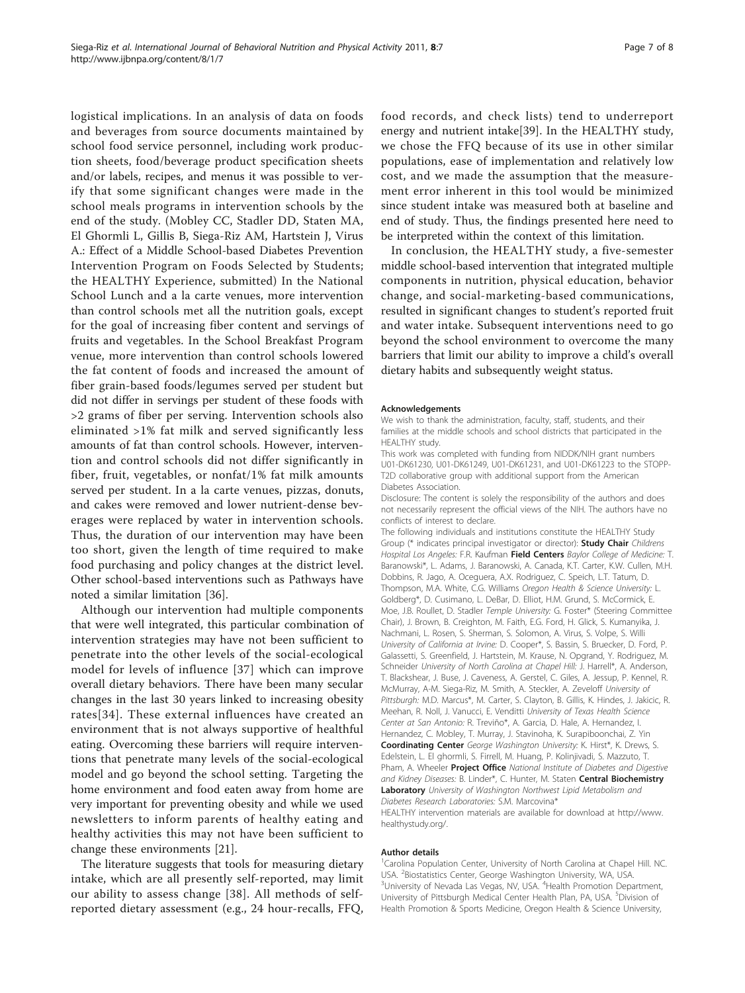logistical implications. In an analysis of data on foods and beverages from source documents maintained by school food service personnel, including work production sheets, food/beverage product specification sheets and/or labels, recipes, and menus it was possible to verify that some significant changes were made in the school meals programs in intervention schools by the end of the study. (Mobley CC, Stadler DD, Staten MA,

El Ghormli L, Gillis B, Siega-Riz AM, Hartstein J, Virus A.: Effect of a Middle School-based Diabetes Prevention Intervention Program on Foods Selected by Students; the HEALTHY Experience, submitted) In the National School Lunch and a la carte venues, more intervention than control schools met all the nutrition goals, except for the goal of increasing fiber content and servings of fruits and vegetables. In the School Breakfast Program venue, more intervention than control schools lowered the fat content of foods and increased the amount of fiber grain-based foods/legumes served per student but did not differ in servings per student of these foods with >2 grams of fiber per serving. Intervention schools also eliminated >1% fat milk and served significantly less amounts of fat than control schools. However, intervention and control schools did not differ significantly in fiber, fruit, vegetables, or nonfat/1% fat milk amounts served per student. In a la carte venues, pizzas, donuts, and cakes were removed and lower nutrient-dense beverages were replaced by water in intervention schools. Thus, the duration of our intervention may have been too short, given the length of time required to make food purchasing and policy changes at the district level. Other school-based interventions such as Pathways have noted a similar limitation [\[36](#page-7-0)].

Although our intervention had multiple components that were well integrated, this particular combination of intervention strategies may have not been sufficient to penetrate into the other levels of the social-ecological model for levels of influence [[37](#page-7-0)] which can improve overall dietary behaviors. There have been many secular changes in the last 30 years linked to increasing obesity rates[[34](#page-7-0)]. These external influences have created an environment that is not always supportive of healthful eating. Overcoming these barriers will require interventions that penetrate many levels of the social-ecological model and go beyond the school setting. Targeting the home environment and food eaten away from home are very important for preventing obesity and while we used newsletters to inform parents of healthy eating and healthy activities this may not have been sufficient to change these environments [[21\]](#page-7-0).

The literature suggests that tools for measuring dietary intake, which are all presently self-reported, may limit our ability to assess change [[38](#page-7-0)]. All methods of selfreported dietary assessment (e.g., 24 hour-recalls, FFQ, food records, and check lists) tend to underreport energy and nutrient intake[\[39](#page-7-0)]. In the HEALTHY study, we chose the FFQ because of its use in other similar populations, ease of implementation and relatively low cost, and we made the assumption that the measurement error inherent in this tool would be minimized since student intake was measured both at baseline and end of study. Thus, the findings presented here need to be interpreted within the context of this limitation.

In conclusion, the HEALTHY study, a five-semester middle school-based intervention that integrated multiple components in nutrition, physical education, behavior change, and social-marketing-based communications, resulted in significant changes to student's reported fruit and water intake. Subsequent interventions need to go beyond the school environment to overcome the many barriers that limit our ability to improve a child's overall dietary habits and subsequently weight status.

#### Acknowledgements

We wish to thank the administration, faculty, staff, students, and their families at the middle schools and school districts that participated in the HEALTHY study.

This work was completed with funding from NIDDK/NIH grant numbers U01-DK61230, U01-DK61249, U01-DK61231, and U01-DK61223 to the STOPP-T2D collaborative group with additional support from the American Diabetes Association.

Disclosure: The content is solely the responsibility of the authors and does not necessarily represent the official views of the NIH. The authors have no conflicts of interest to declare.

The following individuals and institutions constitute the HEALTHY Study Group (\* indicates principal investigator or director): **Study Chair** Childrens Hospital Los Angeles: F.R. Kaufman Field Centers Baylor College of Medicine: T. Baranowski\*, L. Adams, J. Baranowski, A. Canada, K.T. Carter, K.W. Cullen, M.H. Dobbins, R. Jago, A. Oceguera, A.X. Rodriguez, C. Speich, L.T. Tatum, D. Thompson, M.A. White, C.G. Williams Oregon Health & Science University: L. Goldberg\*, D. Cusimano, L. DeBar, D. Elliot, H.M. Grund, S. McCormick, E. Moe, J.B. Roullet, D. Stadler Temple University: G. Foster\* (Steering Committee Chair), J. Brown, B. Creighton, M. Faith, E.G. Ford, H. Glick, S. Kumanyika, J. Nachmani, L. Rosen, S. Sherman, S. Solomon, A. Virus, S. Volpe, S. Willi University of California at Irvine: D. Cooper\*, S. Bassin, S. Bruecker, D. Ford, P. Galassetti, S. Greenfield, J. Hartstein, M. Krause, N. Opgrand, Y. Rodriguez, M. Schneider University of North Carolina at Chapel Hill: J. Harrell\*, A. Anderson, T. Blackshear, J. Buse, J. Caveness, A. Gerstel, C. Giles, A. Jessup, P. Kennel, R. McMurray, A-M. Siega-Riz, M. Smith, A. Steckler, A. Zeveloff University of Pittsburgh: M.D. Marcus\*, M. Carter, S. Clayton, B. Gillis, K. Hindes, J. Jakicic, R. Meehan, R. Noll, J. Vanucci, E. Venditti University of Texas Health Science Center at San Antonio: R. Treviño\*, A. Garcia, D. Hale, A. Hernandez, I. Hernandez, C. Mobley, T. Murray, J. Stavinoha, K. Surapiboonchai, Z. Yin Coordinating Center George Washington University: K. Hirst\*, K. Drews, S. Edelstein, L. El ghormli, S. Firrell, M. Huang, P. Kolinjivadi, S. Mazzuto, T. Pham, A. Wheeler Project Office National Institute of Diabetes and Digestive and Kidney Diseases: B. Linder\*, C. Hunter, M. Staten Central Biochemistry Laboratory University of Washington Northwest Lipid Metabolism and Diabetes Research Laboratories: S.M. Marcovina\* HEALTHY intervention materials are available for download at [http://www.](http://www.healthystudy.org/) [healthystudy.org/.](http://www.healthystudy.org/)

#### Author details

<sup>1</sup> Carolina Population Center, University of North Carolina at Chapel Hill. NC USA. <sup>2</sup> Biostatistics Center, George Washington University, WA, USA. <sup>3</sup> University of Novada Las Vegas, NV, USA. <sup>4</sup> Health Promotion Dom: University of Nevada Las Vegas, NV, USA. <sup>4</sup> Health Promotion Department, University of Pittsburgh Medical Center Health Plan, PA, USA. <sup>5</sup> Division of Health Promotion & Sports Medicine, Oregon Health & Science University,